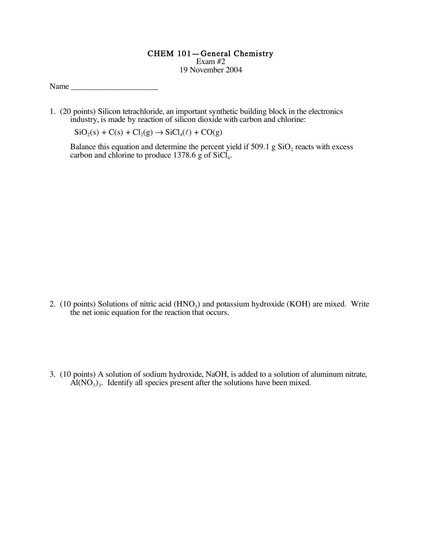## CHEM 101—General Chemistry

Exam #2 19 November 2004

Name  $\Box$ 

1. (20 points) Silicon tetrachloride, an important synthetic building block in the electronics industry, is made by reaction of silicon dioxide with carbon and chlorine:

 $SiO_2(s) + C(s) + Cl_2(g) \rightarrow SiCl_4(\ell) + CO(g)$ 

Balance this equation and determine the percent yield if  $509.1$  g  $SiO<sub>2</sub>$  reacts with excess carbon and chlorine to produce  $1378.6$  g of SiCl<sub>4</sub>.

- 2. (10 points) Solutions of nitric acid  $(HNO<sub>3</sub>)$  and potassium hydroxide (KOH) are mixed. Write the net ionic equation for the reaction that occurs.
- 3. (10 points) A solution of sodium hydroxide, NaOH, is added to a solution of aluminum nitrate,  $\overrightarrow{Al}(NO_3)_3$ . Identify all species present after the solutions have been mixed.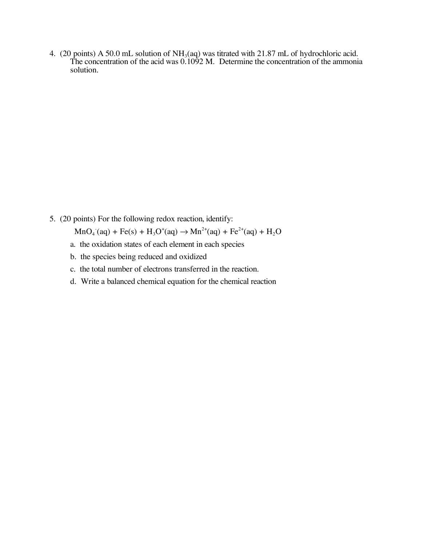4. (20 points) A 50.0 mL solution of  $NH<sub>3</sub>(aq)$  was titrated with 21.87 mL of hydrochloric acid. The concentration of the acid was 0.1092 M. Determine the concentration of the ammonia solution.

5. (20 points) For the following redox reaction, identify:

 $MnO_4$  (aq) + Fe(s) + H<sub>3</sub>O<sup>+</sup>(aq)  $\rightarrow$  Mn<sup>2+</sup>(aq) + Fe<sup>2+</sup>(aq) + H<sub>2</sub>O

- a. the oxidation states of each element in each species
- b. the species being reduced and oxidized
- c. the total number of electrons transferred in the reaction.
- d. Write a balanced chemical equation for the chemical reaction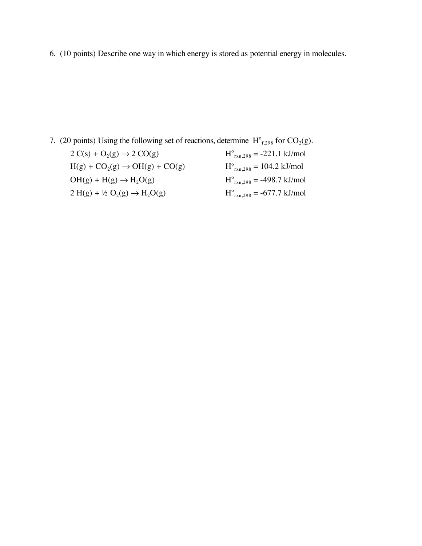6. (10 points) Describe one way in which energy is stored as potential energy in molecules.

7. (20 points) Using the following set of reactions, determine  $H^{\circ}_{f,298}$  for CO<sub>2</sub>(g).

| $2 C(s) + O2(g) \rightarrow 2 CO(g)$               | $H^{\circ}_{rxn,298} = -221.1$ kJ/mol                |
|----------------------------------------------------|------------------------------------------------------|
| $H(g) + CO_2(g) \rightarrow OH(g) + CO(g)$         | $H^{\circ}_{rxn.298} = 104.2$ kJ/mol                 |
| $OH(g) + H(g) \rightarrow H2O(g)$                  | $H^{\circ}_{rxn,298} = -498.7$ kJ/mol                |
| $2 H(g) + \frac{1}{2} O_2(g) \rightarrow H_2 O(g)$ | $H^{\circ}_{\text{rxn},298} = -677.7 \text{ kJ/mol}$ |